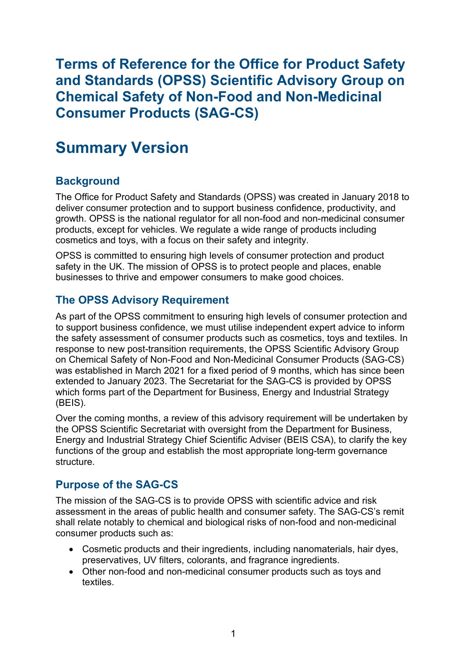**and Standards (OPSS) Scientific Advisory Group on Consumer Products (SAG-CS) Terms of Reference for the Office for Product Safety Chemical Safety of Non-Food and Non-Medicinal** 

# **Summary Version**

# **Background**

 The Office for Product Safety and Standards (OPSS) was created in January 2018 to deliver consumer protection and to support business confidence, productivity, and growth. OPSS is the national regulator for all non-food and non-medicinal consumer products, except for vehicles. We regulate a wide range of products including cosmetics and toys, with a focus on their safety and integrity.

 OPSS is committed to ensuring high levels of consumer protection and product safety in the UK. The mission of OPSS is to protect people and places, enable businesses to thrive and empower consumers to make good choices.

# **The OPSS Advisory Requirement**

 to support business confidence, we must utilise independent expert advice to inform As part of the OPSS commitment to ensuring high levels of consumer protection and the safety assessment of consumer products such as cosmetics, toys and textiles. In response to new post-transition requirements, the OPSS Scientific Advisory Group on Chemical Safety of Non-Food and Non-Medicinal Consumer Products (SAG-CS) was established in March 2021 for a fixed period of 9 months, which has since been extended to January 2023. The Secretariat for the SAG-CS is provided by OPSS which forms part of the Department for Business, Energy and Industrial Strategy (BEIS).

Over the coming months, a review of this advisory requirement will be undertaken by the OPSS Scientific Secretariat with oversight from the Department for Business, Energy and Industrial Strategy Chief Scientific Adviser (BEIS CSA), to clarify the key functions of the group and establish the most appropriate long-term governance structure.

# **Purpose of the SAG-CS**

The mission of the SAG-CS is to provide OPSS with scientific advice and risk assessment in the areas of public health and consumer safety. The SAG-CS's remit shall relate notably to chemical and biological risks of non-food and non-medicinal consumer products such as:

- • Cosmetic products and their ingredients, including nanomaterials, hair dyes, preservatives, UV filters, colorants, and fragrance ingredients.
- Other non-food and non-medicinal consumer products such as toys and textiles.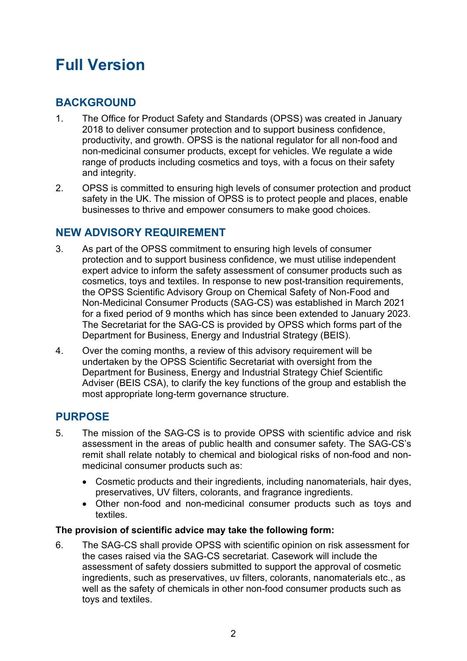# **Full Version**

# **BACKGROUND**

- 1. The Office for Product Safety and Standards (OPSS) was created in January 2018 to deliver consumer protection and to support business confidence, productivity, and growth. OPSS is the national regulator for all non-food and non-medicinal consumer products, except for vehicles. We regulate a wide range of products including cosmetics and toys, with a focus on their safety and integrity.
- 2. OPSS is committed to ensuring high levels of consumer protection and product safety in the UK. The mission of OPSS is to protect people and places, enable businesses to thrive and empower consumers to make good choices.

# **NEW ADVISORY REQUIREMENT**

- protection and to support business confidence, we must utilise independent for a fixed period of 9 months which has since been extended to January 2023. The Secretariat for the SAG-CS is provided by OPSS which forms part of the 3. As part of the OPSS commitment to ensuring high levels of consumer expert advice to inform the safety assessment of consumer products such as cosmetics, toys and textiles. In response to new post-transition requirements, the OPSS Scientific Advisory Group on Chemical Safety of Non-Food and Non-Medicinal Consumer Products (SAG-CS) was established in March 2021 Department for Business, Energy and Industrial Strategy (BEIS).
- undertaken by the OPSS Scientific Secretariat with oversight from the 4. Over the coming months, a review of this advisory requirement will be Department for Business, Energy and Industrial Strategy Chief Scientific Adviser (BEIS CSA), to clarify the key functions of the group and establish the most appropriate long-term governance structure.

# **PURPOSE**

- 5. The mission of the SAG-CS is to provide OPSS with scientific advice and risk assessment in the areas of public health and consumer safety. The SAG-CS's remit shall relate notably to chemical and biological risks of non-food and nonmedicinal consumer products such as:
	- • Cosmetic products and their ingredients, including nanomaterials, hair dyes, preservatives, UV filters, colorants, and fragrance ingredients.
	- Other non-food and non-medicinal consumer products such as toys and textiles.

#### **The provision of scientific advice may take the following form:**

 the cases raised via the SAG-CS secretariat. Casework will include the well as the safety of chemicals in other non-food consumer products such as 6. The SAG-CS shall provide OPSS with scientific opinion on risk assessment for assessment of safety dossiers submitted to support the approval of cosmetic ingredients, such as preservatives, uv filters, colorants, nanomaterials etc., as toys and textiles.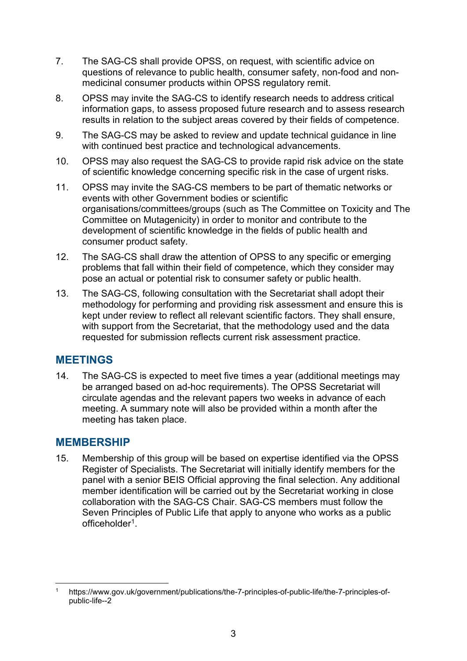- 7. The SAG-CS shall provide OPSS, on request, with scientific advice on questions of relevance to public health, consumer safety, non-food and nonmedicinal consumer products within OPSS regulatory remit.
- 8. results in relation to the subject areas covered by their fields of competence. OPSS may invite the SAG-CS to identify research needs to address critical information gaps, to assess proposed future research and to assess research
- 9. The SAG-CS may be asked to review and update technical guidance in line with continued best practice and technological advancements.
- $10<sup>1</sup>$ 10. OPSS may also request the SAG-CS to provide rapid risk advice on the state of scientific knowledge concerning specific risk in the case of urgent risks.
- $11$  development of scientific knowledge in the fields of public health and consumer product safety. 11. OPSS may invite the SAG-CS members to be part of thematic networks or events with other Government bodies or scientific organisations/committees/groups (such as The Committee on Toxicity and The Committee on Mutagenicity) in order to monitor and contribute to the
- 12. The SAG-CS shall draw the attention of OPSS to any specific or emerging problems that fall within their field of competence, which they consider may pose an actual or potential risk to consumer safety or public health.
- with support from the Secretariat, that the methodology used and the data 13. The SAG-CS, following consultation with the Secretariat shall adopt their methodology for performing and providing risk assessment and ensure this is kept under review to reflect all relevant scientific factors. They shall ensure, requested for submission reflects current risk assessment practice.

# **MEETINGS**

14. The SAG-CS is expected to meet five times a year (additional meetings may be arranged based on ad-hoc requirements). The OPSS Secretariat will circulate agendas and the relevant papers two weeks in advance of each meeting. A summary note will also be provided within a month after the meeting has taken place.

#### **MEMBERSHIP**

 collaboration with the SAG-CS Chair. SAG-CS members must follow the Seven Principles of Public Life that apply to anyone who works as a public 15. Membership of this group will be based on expertise identified via the OPSS Register of Specialists. The Secretariat will initially identify members for the panel with a senior BEIS Official approving the final selection. Any additional member identification will be carried out by the Secretariat working in close officeholde[r1.](#page-2-0)

<span id="page-2-0"></span><https://www.gov.uk/government/publications/the-7-principles-of-public-life/the-7-principles-of>public-life--2 1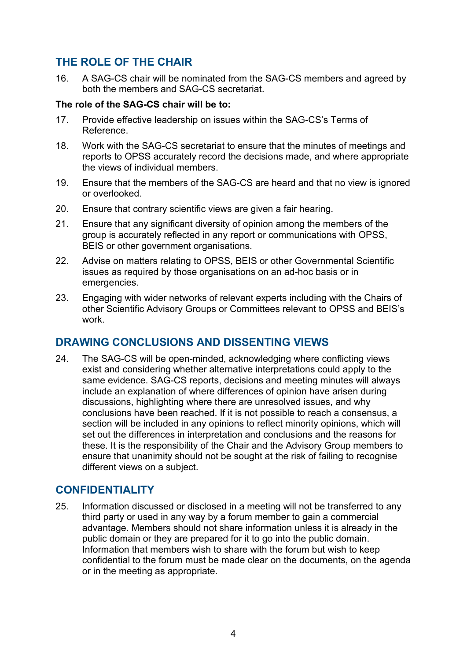# **THE ROLE OF THE CHAIR**

16. A SAG-CS chair will be nominated from the SAG-CS members and agreed by both the members and SAG-CS secretariat.

#### **The role of the SAG-CS chair will be to:**

- 17. Provide effective leadership on issues within the SAG-CS's Terms of Reference.
- 18. Work with the SAG-CS secretariat to ensure that the minutes of meetings and reports to OPSS accurately record the decisions made, and where appropriate the views of individual members.
- 19 Ensure that the members of the SAG-CS are heard and that no view is ignored or overlooked.
- $20<sub>1</sub>$ Ensure that contrary scientific views are given a fair hearing.
- $21.$  BEIS or other government organisations. Ensure that any significant diversity of opinion among the members of the group is accurately reflected in any report or communications with OPSS,
- 22. Advise on matters relating to OPSS, BEIS or other Governmental Scientific issues as required by those organisations on an ad-hoc basis or in emergencies.
- other Scientific Advisory Groups or Committees relevant to OPSS and BEIS's 23. Engaging with wider networks of relevant experts including with the Chairs of work.

# **DRAWING CONCLUSIONS AND DISSENTING VIEWS**

 same evidence. SAG-CS reports, decisions and meeting minutes will always 24. The SAG-CS will be open-minded, acknowledging where conflicting views exist and considering whether alternative interpretations could apply to the include an explanation of where differences of opinion have arisen during discussions, highlighting where there are unresolved issues, and why conclusions have been reached. If it is not possible to reach a consensus, a section will be included in any opinions to reflect minority opinions, which will set out the differences in interpretation and conclusions and the reasons for these. It is the responsibility of the Chair and the Advisory Group members to ensure that unanimity should not be sought at the risk of failing to recognise different views on a subject.

# **CONFIDENTIALITY**

25. Information discussed or disclosed in a meeting will not be transferred to any third party or used in any way by a forum member to gain a commercial advantage. Members should not share information unless it is already in the public domain or they are prepared for it to go into the public domain. Information that members wish to share with the forum but wish to keep confidential to the forum must be made clear on the documents, on the agenda or in the meeting as appropriate.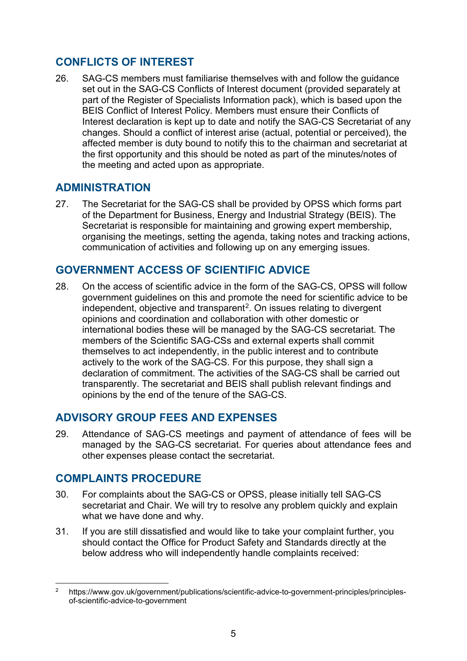# **CONFLICTS OF INTEREST**

 Interest declaration is kept up to date and notify the SAG-CS Secretariat of any the first opportunity and this should be noted as part of the minutes/notes of 26. SAG-CS members must familiarise themselves with and follow the guidance set out in the SAG-CS Conflicts of Interest document (provided separately at part of the Register of Specialists Information pack), which is based upon the BEIS Conflict of Interest Policy. Members must ensure their Conflicts of changes. Should a conflict of interest arise (actual, potential or perceived), the affected member is duty bound to notify this to the chairman and secretariat at the meeting and acted upon as appropriate.

# **ADMINISTRATION**

27. The Secretariat for the SAG-CS shall be provided by OPSS which forms part of the Department for Business, Energy and Industrial Strategy (BEIS). The Secretariat is responsible for maintaining and growing expert membership, organising the meetings, setting the agenda, taking notes and tracking actions, communication of activities and following up on any emerging issues.

# **GOVERNMENT ACCESS OF SCIENTIFIC ADVICE**

 international bodies these will be managed by the SAG-CS secretariat. The 28. On the access of scientific advice in the form of the SAG-CS, OPSS will follow government guidelines on this and promote the need for scientific advice to be independent, objective and transparent<sup>[2](#page-4-0)</sup>. On issues relating to divergent opinions and coordination and collaboration with other domestic or members of the Scientific SAG-CSs and external experts shall commit themselves to act independently, in the public interest and to contribute actively to the work of the SAG-CS. For this purpose, they shall sign a declaration of commitment. The activities of the SAG-CS shall be carried out transparently. The secretariat and BEIS shall publish relevant findings and opinions by the end of the tenure of the SAG-CS.

# **ADVISORY GROUP FEES AND EXPENSES**

29. Attendance of SAG-CS meetings and payment of attendance of fees will be managed by the SAG-CS secretariat. For queries about attendance fees and other expenses please contact the secretariat.

# **COMPLAINTS PROCEDURE**

- 30. For complaints about the SAG-CS or OPSS, please initially tell SAG-CS secretariat and Chair. We will try to resolve any problem quickly and explain what we have done and why.
- 31. If you are still dissatisfied and would like to take your complaint further, you should contact the Office for Product Safety and Standards directly at the below address who will independently handle complaints received:

<span id="page-4-0"></span><https://www.gov.uk/government/publications/scientific-advice-to-government-principles/principles>of-scientific-advice-to-government 2